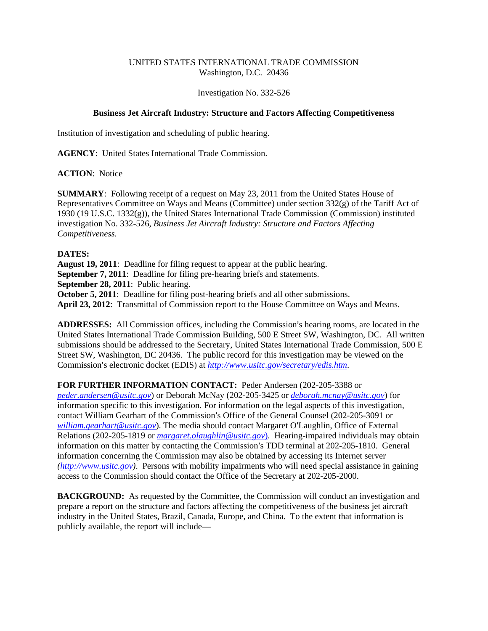# UNITED STATES INTERNATIONAL TRADE COMMISSION Washington, D.C. 20436

#### Investigation No. 332-526

# **Business Jet Aircraft Industry: Structure and Factors Affecting Competitiveness**

Institution of investigation and scheduling of public hearing.

**AGENCY**: United States International Trade Commission.

### **ACTION**: Notice

**SUMMARY**: Following receipt of a request on May 23, 2011 from the United States House of Representatives Committee on Ways and Means (Committee) under section  $332(g)$  of the Tariff Act of 1930 (19 U.S.C. 1332(g)), the United States International Trade Commission (Commission) instituted investigation No. 332-526, *Business Jet Aircraft Industry: Structure and Factors Affecting Competitiveness.*

### **DATES:**

**August 19, 2011**: Deadline for filing request to appear at the public hearing. **September 7, 2011**: Deadline for filing pre-hearing briefs and statements. **September 28, 2011**: Public hearing. **October 5, 2011**: Deadline for filing post-hearing briefs and all other submissions. **April 23, 2012**: Transmittal of Commission report to the House Committee on Ways and Means.

ADDRESSES: All Commission offices, including the Commission's hearing rooms, are located in the United States International Trade Commission Building, 500 E Street SW, Washington, DC. All written submissions should be addressed to the Secretary, United States International Trade Commission, 500 E Street SW, Washington, DC 20436. The public record for this investigation may be viewed on the Commission's electronic docket (EDIS) at *http://www.usitc.gov/secretary/edis.htm.* 

# **FOR FURTHER INFORMATION CONTACT:** Peder Andersen (202-205-3388 or

*peder.andersen@usitc.gov*) or Deborah McNay (202-205-3425 or *deborah.mcnay@usitc.gov*) for information specific to this investigation. For information on the legal aspects of this investigation, contact William Gearhart of the Commission's Office of the General Counsel (202-205-3091 or  $william, gearhart@ustc.gov)$ . The media should contact Margaret O'Laughlin, Office of External Relations (202-205-1819 or *margaret.olaughlin@usitc.gov*). Hearing-impaired individuals may obtain information on this matter by contacting the Commission's TDD terminal at 202-205-1810. General information concerning the Commission may also be obtained by accessing its Internet server *(http://www.usitc.gov)*. Persons with mobility impairments who will need special assistance in gaining access to the Commission should contact the Office of the Secretary at 202-205-2000.

**BACKGROUND:** As requested by the Committee, the Commission will conduct an investigation and prepare a report on the structure and factors affecting the competitiveness of the business jet aircraft industry in the United States, Brazil, Canada, Europe, and China. To the extent that information is publicly available, the report will include—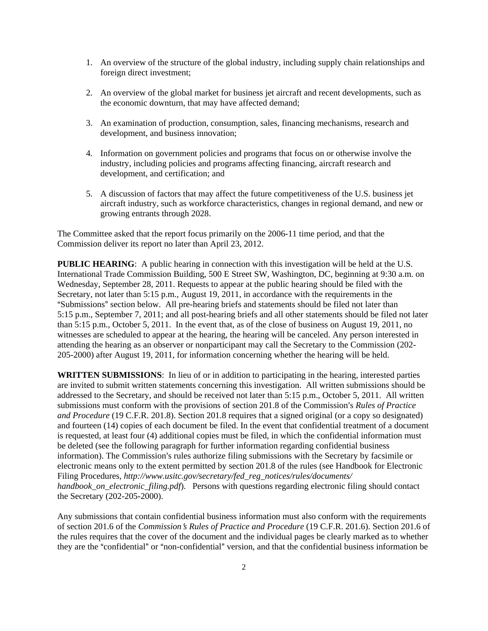- 1. An overview of the structure of the global industry, including supply chain relationships and foreign direct investment;
- 2. An overview of the global market for business jet aircraft and recent developments, such as the economic downturn, that may have affected demand;
- 3. An examination of production, consumption, sales, financing mechanisms, research and development, and business innovation;
- 4. Information on government policies and programs that focus on or otherwise involve the industry, including policies and programs affecting financing, aircraft research and development, and certification; and
- 5. A discussion of factors that may affect the future competitiveness of the U.S. business jet aircraft industry, such as workforce characteristics, changes in regional demand, and new or growing entrants through 2028.

The Committee asked that the report focus primarily on the 2006-11 time period, and that the Commission deliver its report no later than April 23, 2012.

**PUBLIC HEARING:** A public hearing in connection with this investigation will be held at the U.S. International Trade Commission Building, 500 E Street SW, Washington, DC, beginning at 9:30 a.m. on Wednesday, September 28, 2011. Requests to appear at the public hearing should be filed with the Secretary, not later than 5:15 p.m., August 19, 2011, in accordance with the requirements in the "Submissions" section below. All pre-hearing briefs and statements should be filed not later than 5:15 p.m., September 7, 2011; and all post-hearing briefs and all other statements should be filed not later than 5:15 p.m., October 5, 2011. In the event that, as of the close of business on August 19, 2011, no witnesses are scheduled to appear at the hearing, the hearing will be canceled. Any person interested in attending the hearing as an observer or nonparticipant may call the Secretary to the Commission (202- 205-2000) after August 19, 2011, for information concerning whether the hearing will be held.

**WRITTEN SUBMISSIONS**: In lieu of or in addition to participating in the hearing, interested parties are invited to submit written statements concerning this investigation. All written submissions should be addressed to the Secretary, and should be received not later than 5:15 p.m., October 5, 2011. All written submissions must conform with the provisions of section 201.8 of the Commission's *Rules of Practice and Procedure* (19 C.F.R. 201.8). Section 201.8 requires that a signed original (or a copy so designated) and fourteen (14) copies of each document be filed. In the event that confidential treatment of a document is requested, at least four (4) additional copies must be filed, in which the confidential information must be deleted (see the following paragraph for further information regarding confidential business information). The Commission's rules authorize filing submissions with the Secretary by facsimile or electronic means only to the extent permitted by section 201.8 of the rules (see Handbook for Electronic Filing Procedures, *http://www.usitc.gov/secretary/fed\_reg\_notices/rules/documents/ handbook\_on\_electronic\_filing.pdf*). Persons with questions regarding electronic filing should contact the Secretary (202-205-2000).

Any submissions that contain confidential business information must also conform with the requirements of section 201.6 of the *Commission*=*s Rules of Practice and Procedure* (19 C.F.R. 201.6). Section 201.6 of the rules requires that the cover of the document and the individual pages be clearly marked as to whether they are the "confidential" or "non-confidential" version, and that the confidential business information be